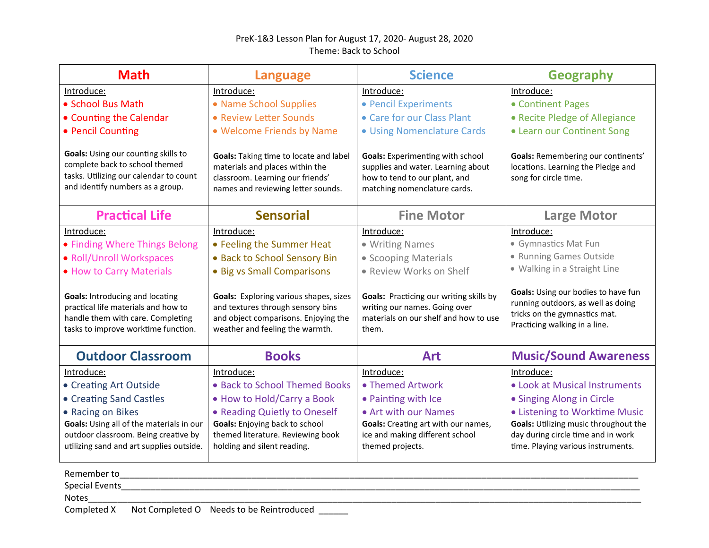## PreK-1&3 Lesson Plan for August 17, 2020- August 28, 2020 Theme: Back to School

| <b>Math</b>                                                                                                                                               | <b>Language</b>                                                                                                                                        | <b>Science</b>                                                                                                                                 | <b>Geography</b>                                                                                                                            |
|-----------------------------------------------------------------------------------------------------------------------------------------------------------|--------------------------------------------------------------------------------------------------------------------------------------------------------|------------------------------------------------------------------------------------------------------------------------------------------------|---------------------------------------------------------------------------------------------------------------------------------------------|
| Introduce:                                                                                                                                                | Introduce:                                                                                                                                             | Introduce:                                                                                                                                     | Introduce:                                                                                                                                  |
| • School Bus Math                                                                                                                                         | • Name School Supplies                                                                                                                                 | • Pencil Experiments                                                                                                                           | • Continent Pages                                                                                                                           |
| • Counting the Calendar                                                                                                                                   | • Review Letter Sounds                                                                                                                                 | • Care for our Class Plant                                                                                                                     | • Recite Pledge of Allegiance                                                                                                               |
| • Pencil Counting                                                                                                                                         | • Welcome Friends by Name                                                                                                                              | · Using Nomenclature Cards                                                                                                                     | • Learn our Continent Song                                                                                                                  |
| Goals: Using our counting skills to<br>complete back to school themed<br>tasks. Utilizing our calendar to count<br>and identify numbers as a group.       | Goals: Taking time to locate and label<br>materials and places within the<br>classroom. Learning our friends'<br>names and reviewing letter sounds.    | <b>Goals:</b> Experimenting with school<br>supplies and water. Learning about<br>how to tend to our plant, and<br>matching nomenclature cards. | Goals: Remembering our continents'<br>locations. Learning the Pledge and<br>song for circle time.                                           |
| <b>Practical Life</b>                                                                                                                                     | <b>Sensorial</b>                                                                                                                                       | <b>Fine Motor</b>                                                                                                                              | <b>Large Motor</b>                                                                                                                          |
| Introduce:                                                                                                                                                | Introduce:                                                                                                                                             | Introduce:                                                                                                                                     | Introduce:                                                                                                                                  |
| • Finding Where Things Belong                                                                                                                             | • Feeling the Summer Heat                                                                                                                              | • Writing Names                                                                                                                                | • Gymnastics Mat Fun                                                                                                                        |
| • Roll/Unroll Workspaces                                                                                                                                  | • Back to School Sensory Bin                                                                                                                           | • Scooping Materials                                                                                                                           | • Running Games Outside                                                                                                                     |
| . How to Carry Materials                                                                                                                                  | • Big vs Small Comparisons                                                                                                                             | • Review Works on Shelf                                                                                                                        | · Walking in a Straight Line                                                                                                                |
| <b>Goals: Introducing and locating</b><br>practical life materials and how to<br>handle them with care. Completing<br>tasks to improve worktime function. | Goals: Exploring various shapes, sizes<br>and textures through sensory bins<br>and object comparisons. Enjoying the<br>weather and feeling the warmth. | Goals: Practicing our writing skills by<br>writing our names. Going over<br>materials on our shelf and how to use<br>them.                     | Goals: Using our bodies to have fun<br>running outdoors, as well as doing<br>tricks on the gymnastics mat.<br>Practicing walking in a line. |
| <b>Outdoor Classroom</b>                                                                                                                                  | <b>Books</b>                                                                                                                                           | <b>Art</b>                                                                                                                                     | <b>Music/Sound Awareness</b>                                                                                                                |
| Introduce:                                                                                                                                                | Introduce:                                                                                                                                             | Introduce:                                                                                                                                     | Introduce:                                                                                                                                  |
| • Creating Art Outside                                                                                                                                    | • Back to School Themed Books                                                                                                                          | • Themed Artwork                                                                                                                               | • Look at Musical Instruments                                                                                                               |
| • Creating Sand Castles                                                                                                                                   | • How to Hold/Carry a Book                                                                                                                             | • Painting with Ice                                                                                                                            | • Singing Along in Circle                                                                                                                   |
| • Racing on Bikes                                                                                                                                         | • Reading Quietly to Oneself                                                                                                                           | • Art with our Names                                                                                                                           | • Listening to Worktime Music                                                                                                               |
| Goals: Using all of the materials in our                                                                                                                  | Goals: Enjoying back to school                                                                                                                         | Goals: Creating art with our names,                                                                                                            | Goals: Utilizing music throughout the                                                                                                       |
| outdoor classroom. Being creative by                                                                                                                      | themed literature. Reviewing book                                                                                                                      | ice and making different school                                                                                                                | day during circle time and in work                                                                                                          |
| utilizing sand and art supplies outside.                                                                                                                  | holding and silent reading.                                                                                                                            | themed projects.                                                                                                                               | time. Playing various instruments.                                                                                                          |
| Remember to                                                                                                                                               |                                                                                                                                                        |                                                                                                                                                |                                                                                                                                             |
| <b>Special Events</b>                                                                                                                                     |                                                                                                                                                        |                                                                                                                                                |                                                                                                                                             |

Notes\_\_\_\_\_\_\_\_\_\_\_\_\_\_\_\_\_\_\_\_\_\_\_\_\_\_\_\_\_\_\_\_\_\_\_\_\_\_\_\_\_\_\_\_\_\_\_\_\_\_\_\_\_\_\_\_\_\_\_\_\_\_\_\_\_\_\_\_\_\_\_\_\_\_\_\_\_\_\_\_\_\_\_\_\_\_\_\_\_\_\_\_\_\_\_\_\_\_\_\_\_\_\_\_\_\_\_\_\_\_\_\_\_

Completed X Not Completed O Needs to be Reintroduced \_\_\_\_\_\_